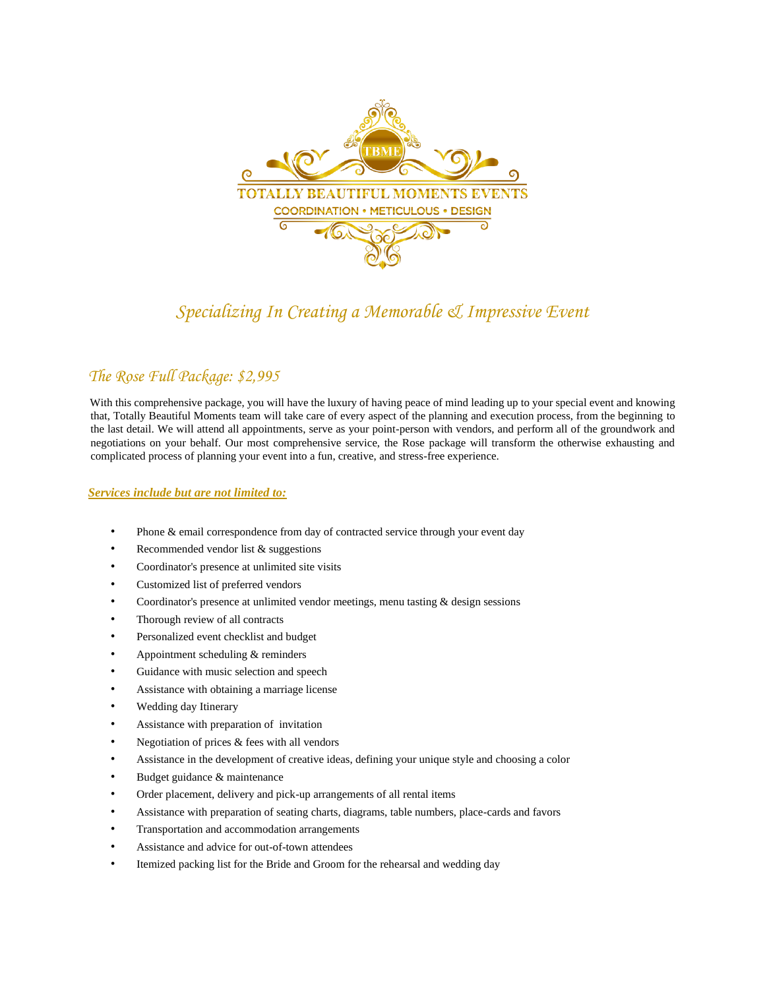

# *Specializing In Creating a Memorable & Impressive Event*

# *The Rose Full Package: \$2,995*

With this comprehensive package, you will have the luxury of having peace of mind leading up to your special event and knowing that, Totally Beautiful Moments team will take care of every aspect of the planning and execution process, from the beginning to the last detail. We will attend all appointments, serve as your point-person with vendors, and perform all of the groundwork and negotiations on your behalf. Our most comprehensive service, the Rose package will transform the otherwise exhausting and complicated process of planning your event into a fun, creative, and stress-free experience.

### *Services include but are not limited to:*

- Phone & email correspondence from day of contracted service through your event day
- Recommended vendor list & suggestions
- Coordinator's presence at unlimited site visits
- Customized list of preferred vendors
- Coordinator's presence at unlimited vendor meetings, menu tasting & design sessions
- Thorough review of all contracts
- Personalized event checklist and budget
- Appointment scheduling & reminders
- Guidance with music selection and speech
- Assistance with obtaining a marriage license
- Wedding day Itinerary
- Assistance with preparation of invitation
- Negotiation of prices & fees with all vendors
- Assistance in the development of creative ideas, defining your unique style and choosing a color
- Budget guidance & maintenance
- Order placement, delivery and pick-up arrangements of all rental items
- Assistance with preparation of seating charts, diagrams, table numbers, place-cards and favors
- Transportation and accommodation arrangements
- Assistance and advice for out-of-town attendees
- Itemized packing list for the Bride and Groom for the rehearsal and wedding day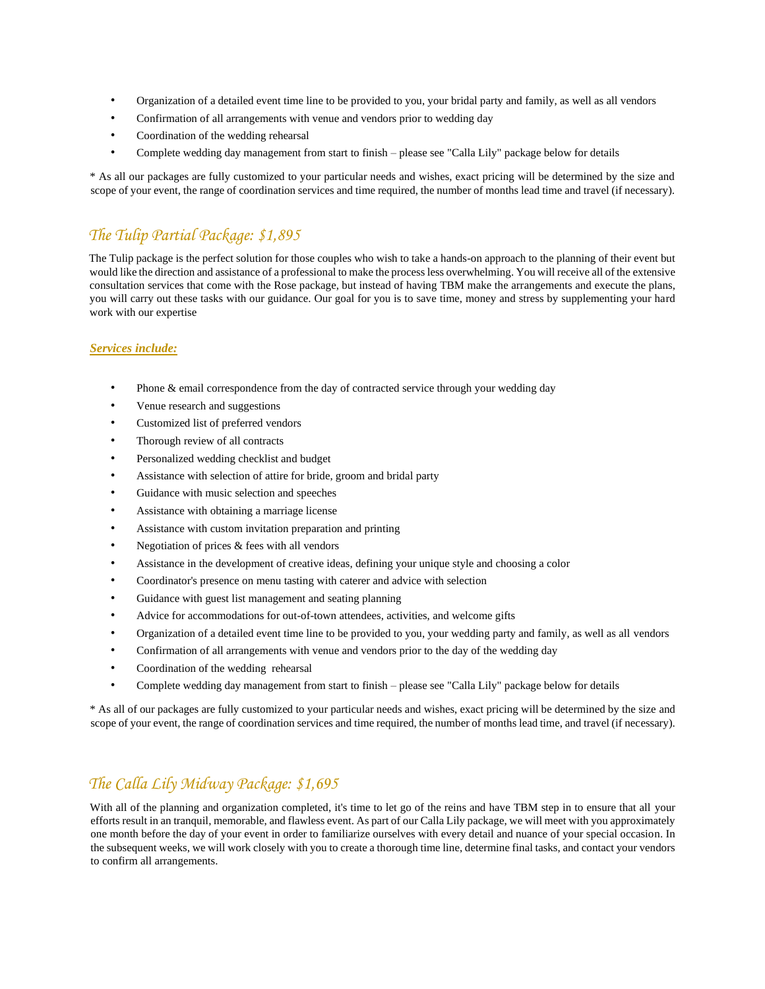- Organization of a detailed event time line to be provided to you, your bridal party and family, as well as all vendors
- Confirmation of all arrangements with venue and vendors prior to wedding day
- Coordination of the wedding rehearsal
- Complete wedding day management from start to finish please see "Calla Lily" package below for details

\* As all our packages are fully customized to your particular needs and wishes, exact pricing will be determined by the size and scope of your event, the range of coordination services and time required, the number of months lead time and travel (if necessary).

# *The Tulip Partial Package: \$1,895*

The Tulip package is the perfect solution for those couples who wish to take a hands-on approach to the planning of their event but would like the direction and assistance of a professional to make the process less overwhelming. You will receive all of the extensive consultation services that come with the Rose package, but instead of having TBM make the arrangements and execute the plans, you will carry out these tasks with our guidance. Our goal for you is to save time, money and stress by supplementing your hard work with our expertise

## *Services include:*

- Phone & email correspondence from the day of contracted service through your wedding day
- Venue research and suggestions
- Customized list of preferred vendors
- Thorough review of all contracts
- Personalized wedding checklist and budget
- Assistance with selection of attire for bride, groom and bridal party
- Guidance with music selection and speeches
- Assistance with obtaining a marriage license
- Assistance with custom invitation preparation and printing
- Negotiation of prices  $&$  fees with all vendors
- Assistance in the development of creative ideas, defining your unique style and choosing a color
- Coordinator's presence on menu tasting with caterer and advice with selection
- Guidance with guest list management and seating planning
- Advice for accommodations for out-of-town attendees, activities, and welcome gifts
- Organization of a detailed event time line to be provided to you, your wedding party and family, as well as all vendors
- Confirmation of all arrangements with venue and vendors prior to the day of the wedding day
- Coordination of the wedding rehearsal
- Complete wedding day management from start to finish please see "Calla Lily" package below for details

\* As all of our packages are fully customized to your particular needs and wishes, exact pricing will be determined by the size and scope of your event, the range of coordination services and time required, the number of months lead time, and travel (if necessary).

# *The Calla Lily Midway Package: \$1,695*

With all of the planning and organization completed, it's time to let go of the reins and have TBM step in to ensure that all your efforts result in an tranquil, memorable, and flawless event. As part of our Calla Lily package, we will meet with you approximately one month before the day of your event in order to familiarize ourselves with every detail and nuance of your special occasion. In the subsequent weeks, we will work closely with you to create a thorough time line, determine final tasks, and contact your vendors to confirm all arrangements.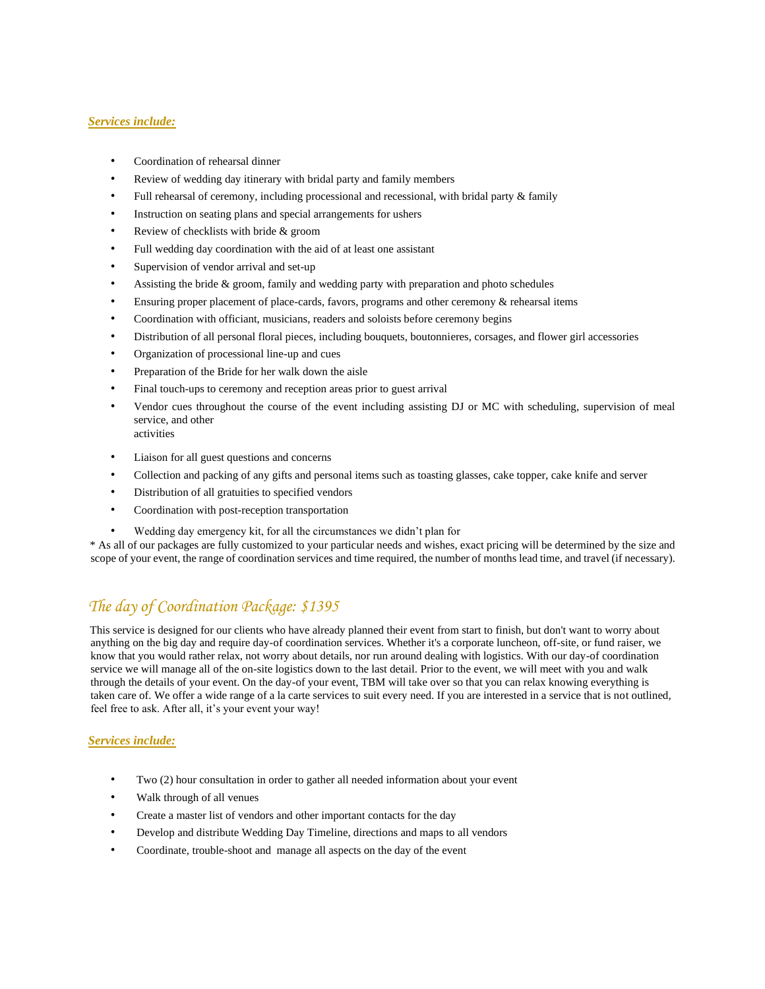#### *Services include:*

- Coordination of rehearsal dinner
- Review of wedding day itinerary with bridal party and family members
- Full rehearsal of ceremony, including processional and recessional, with bridal party  $\&$  family
- Instruction on seating plans and special arrangements for ushers
- Review of checklists with bride & groom
- Full wedding day coordination with the aid of at least one assistant
- Supervision of vendor arrival and set-up
- Assisting the bride  $\&$  groom, family and wedding party with preparation and photo schedules
- Ensuring proper placement of place-cards, favors, programs and other ceremony & rehearsal items
- Coordination with officiant, musicians, readers and soloists before ceremony begins
- Distribution of all personal floral pieces, including bouquets, boutonnieres, corsages, and flower girl accessories
- Organization of processional line-up and cues
- Preparation of the Bride for her walk down the aisle
- Final touch-ups to ceremony and reception areas prior to guest arrival
- Vendor cues throughout the course of the event including assisting DJ or MC with scheduling, supervision of meal service, and other activities
- Liaison for all guest questions and concerns
- Collection and packing of any gifts and personal items such as toasting glasses, cake topper, cake knife and server
- Distribution of all gratuities to specified vendors
- Coordination with post-reception transportation
- Wedding day emergency kit, for all the circumstances we didn't plan for

\* As all of our packages are fully customized to your particular needs and wishes, exact pricing will be determined by the size and scope of your event, the range of coordination services and time required, the number of months lead time, and travel (if necessary).

# *The day of Coordination Package: \$1395*

This service is designed for our clients who have already planned their event from start to finish, but don't want to worry about anything on the big day and require day-of coordination services. Whether it's a corporate luncheon, off-site, or fund raiser, we know that you would rather relax, not worry about details, nor run around dealing with logistics. With our day-of coordination service we will manage all of the on-site logistics down to the last detail. Prior to the event, we will meet with you and walk through the details of your event. On the day-of your event, TBM will take over so that you can relax knowing everything is taken care of. We offer a wide range of a la carte services to suit every need. If you are interested in a service that is not outlined, feel free to ask. After all, it's your event your way!

### *Services include:*

- Two (2) hour consultation in order to gather all needed information about your event
- Walk through of all venues
- Create a master list of vendors and other important contacts for the day
- Develop and distribute Wedding Day Timeline, directions and maps to all vendors
- Coordinate, trouble-shoot and manage all aspects on the day of the event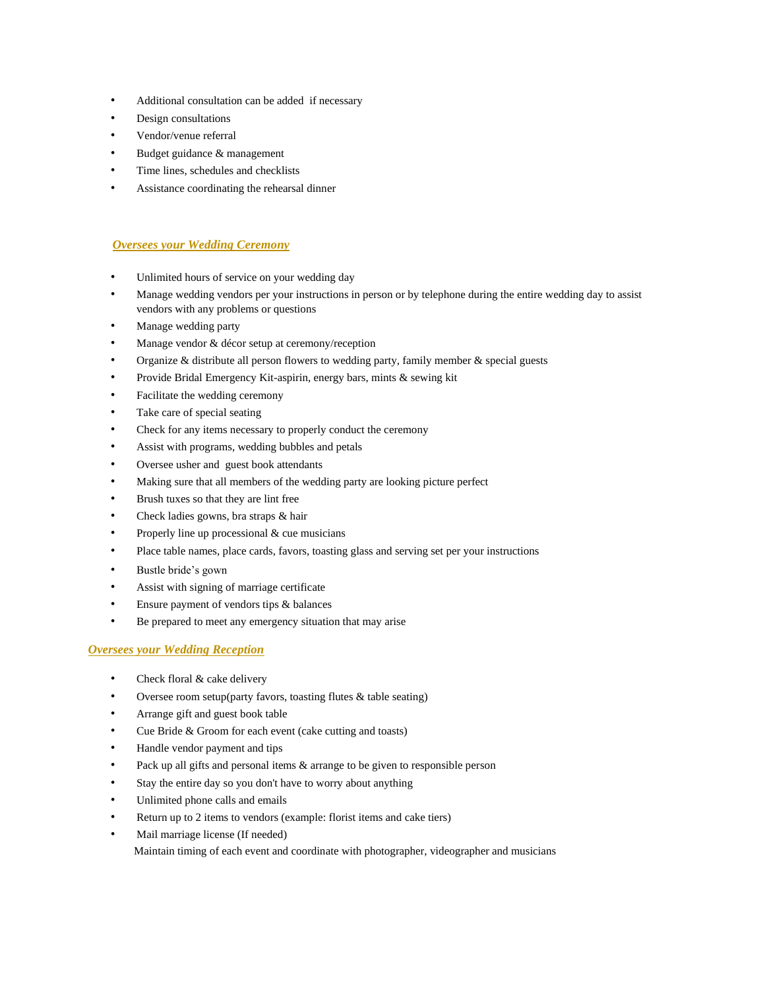- Additional consultation can be added if necessary
- Design consultations
- Vendor/venue referral
- Budget guidance & management
- Time lines, schedules and checklists
- Assistance coordinating the rehearsal dinner

#### *Oversees your Wedding Ceremony*

- Unlimited hours of service on your wedding day
- Manage wedding vendors per your instructions in person or by telephone during the entire wedding day to assist vendors with any problems or questions
- Manage wedding party
- Manage vendor & décor setup at ceremony/reception
- Organize & distribute all person flowers to wedding party, family member & special guests
- Provide Bridal Emergency Kit-aspirin, energy bars, mints & sewing kit
- Facilitate the wedding ceremony
- Take care of special seating
- Check for any items necessary to properly conduct the ceremony
- Assist with programs, wedding bubbles and petals
- Oversee usher and guest book attendants
- Making sure that all members of the wedding party are looking picture perfect
- Brush tuxes so that they are lint free
- Check ladies gowns, bra straps & hair
- Properly line up processional  $&$  cue musicians
- Place table names, place cards, favors, toasting glass and serving set per your instructions
- Bustle bride's gown
- Assist with signing of marriage certificate
- Ensure payment of vendors tips & balances
- Be prepared to meet any emergency situation that may arise

### *Oversees your Wedding Reception*

- Check floral & cake delivery
- Oversee room setup(party favors, toasting flutes & table seating)
- Arrange gift and guest book table
- Cue Bride & Groom for each event (cake cutting and toasts)
- Handle vendor payment and tips
- Pack up all gifts and personal items & arrange to be given to responsible person
- Stay the entire day so you don't have to worry about anything
- Unlimited phone calls and emails
- Return up to 2 items to vendors (example: florist items and cake tiers)
- Mail marriage license (If needed)

Maintain timing of each event and coordinate with photographer, videographer and musicians